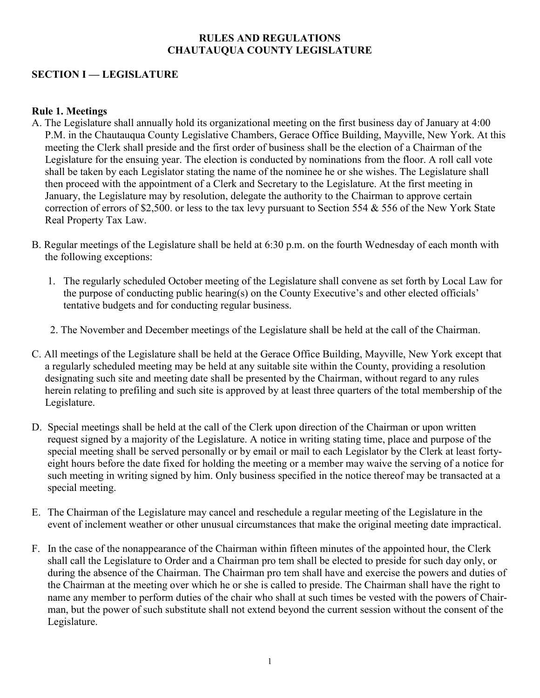## **RULES AND REGULATIONS CHAUTAUQUA COUNTY LEGISLATURE**

# **SECTION I — LEGISLATURE**

## **Rule 1. Meetings**

- A. The Legislature shall annually hold its organizational meeting on the first business day of January at 4:00 P.M. in the Chautauqua County Legislative Chambers, Gerace Office Building, Mayville, New York. At this meeting the Clerk shall preside and the first order of business shall be the election of a Chairman of the Legislature for the ensuing year. The election is conducted by nominations from the floor. A roll call vote shall be taken by each Legislator stating the name of the nominee he or she wishes. The Legislature shall then proceed with the appointment of a Clerk and Secretary to the Legislature. At the first meeting in January, the Legislature may by resolution, delegate the authority to the Chairman to approve certain correction of errors of \$2,500. or less to the tax levy pursuant to Section 554 & 556 of the New York State Real Property Tax Law.
- B. Regular meetings of the Legislature shall be held at 6:30 p.m. on the fourth Wednesday of each month with the following exceptions:
	- 1. The regularly scheduled October meeting of the Legislature shall convene as set forth by Local Law for the purpose of conducting public hearing(s) on the County Executive's and other elected officials' tentative budgets and for conducting regular business.
	- 2. The November and December meetings of the Legislature shall be held at the call of the Chairman.
- C. All meetings of the Legislature shall be held at the Gerace Office Building, Mayville, New York except that a regularly scheduled meeting may be held at any suitable site within the County, providing a resolution designating such site and meeting date shall be presented by the Chairman, without regard to any rules herein relating to prefiling and such site is approved by at least three quarters of the total membership of the Legislature.
- D. Special meetings shall be held at the call of the Clerk upon direction of the Chairman or upon written request signed by a majority of the Legislature. A notice in writing stating time, place and purpose of the special meeting shall be served personally or by email or mail to each Legislator by the Clerk at least fortyeight hours before the date fixed for holding the meeting or a member may waive the serving of a notice for such meeting in writing signed by him. Only business specified in the notice thereof may be transacted at a special meeting.
- E. The Chairman of the Legislature may cancel and reschedule a regular meeting of the Legislature in the event of inclement weather or other unusual circumstances that make the original meeting date impractical.
- F. In the case of the nonappearance of the Chairman within fifteen minutes of the appointed hour, the Clerk shall call the Legislature to Order and a Chairman pro tem shall be elected to preside for such day only, or during the absence of the Chairman. The Chairman pro tem shall have and exercise the powers and duties of the Chairman at the meeting over which he or she is called to preside. The Chairman shall have the right to name any member to perform duties of the chair who shall at such times be vested with the powers of Chairman, but the power of such substitute shall not extend beyond the current session without the consent of the Legislature.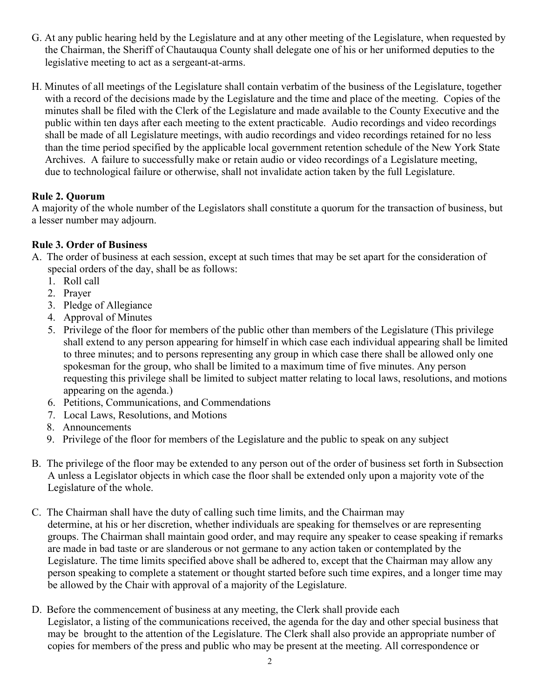- G. At any public hearing held by the Legislature and at any other meeting of the Legislature, when requested by the Chairman, the Sheriff of Chautauqua County shall delegate one of his or her uniformed deputies to the legislative meeting to act as a sergeant-at-arms.
- H. Minutes of all meetings of the Legislature shall contain verbatim of the business of the Legislature, together with a record of the decisions made by the Legislature and the time and place of the meeting. Copies of the minutes shall be filed with the Clerk of the Legislature and made available to the County Executive and the public within ten days after each meeting to the extent practicable. Audio recordings and video recordings shall be made of all Legislature meetings, with audio recordings and video recordings retained for no less than the time period specified by the applicable local government retention schedule of the New York State Archives. A failure to successfully make or retain audio or video recordings of a Legislature meeting, due to technological failure or otherwise, shall not invalidate action taken by the full Legislature.

# **Rule 2. Quorum**

A majority of the whole number of the Legislators shall constitute a quorum for the transaction of business, but a lesser number may adjourn.

# **Rule 3. Order of Business**

- A. The order of business at each session, except at such times that may be set apart for the consideration of special orders of the day, shall be as follows:
	- 1. Roll call
	- 2. Prayer
	- 3. Pledge of Allegiance
	- 4. Approval of Minutes
	- 5. Privilege of the floor for members of the public other than members of the Legislature (This privilege shall extend to any person appearing for himself in which case each individual appearing shall be limited to three minutes; and to persons representing any group in which case there shall be allowed only one spokesman for the group, who shall be limited to a maximum time of five minutes. Any person requesting this privilege shall be limited to subject matter relating to local laws, resolutions, and motions appearing on the agenda.)
	- 6. Petitions, Communications, and Commendations
	- 7. Local Laws, Resolutions, and Motions
	- 8. Announcements
	- 9. Privilege of the floor for members of the Legislature and the public to speak on any subject
- B. The privilege of the floor may be extended to any person out of the order of business set forth in Subsection A unless a Legislator objects in which case the floor shall be extended only upon a majority vote of the Legislature of the whole.
- C. The Chairman shall have the duty of calling such time limits, and the Chairman may determine, at his or her discretion, whether individuals are speaking for themselves or are representing groups. The Chairman shall maintain good order, and may require any speaker to cease speaking if remarks are made in bad taste or are slanderous or not germane to any action taken or contemplated by the Legislature. The time limits specified above shall be adhered to, except that the Chairman may allow any person speaking to complete a statement or thought started before such time expires, and a longer time may be allowed by the Chair with approval of a majority of the Legislature.
- D. Before the commencement of business at any meeting, the Clerk shall provide each Legislator, a listing of the communications received, the agenda for the day and other special business that may be brought to the attention of the Legislature. The Clerk shall also provide an appropriate number of copies for members of the press and public who may be present at the meeting. All correspondence or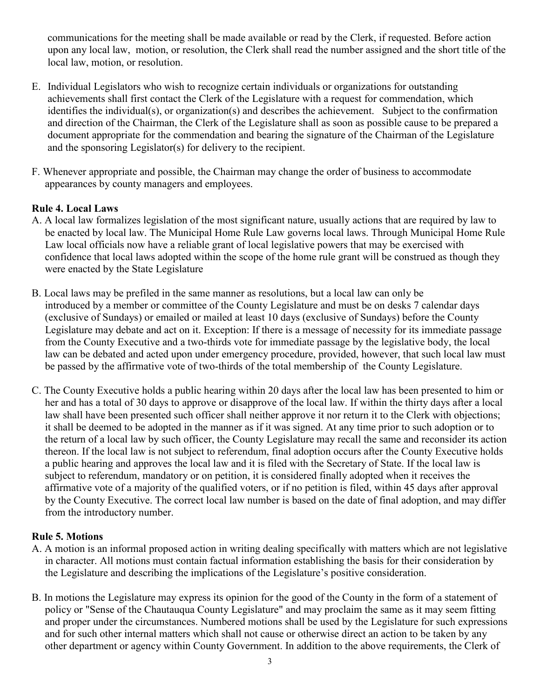communications for the meeting shall be made available or read by the Clerk, if requested. Before action upon any local law, motion, or resolution, the Clerk shall read the number assigned and the short title of the local law, motion, or resolution.

- E. Individual Legislators who wish to recognize certain individuals or organizations for outstanding achievements shall first contact the Clerk of the Legislature with a request for commendation, which identifies the individual(s), or organization(s) and describes the achievement. Subject to the confirmation and direction of the Chairman, the Clerk of the Legislature shall as soon as possible cause to be prepared a document appropriate for the commendation and bearing the signature of the Chairman of the Legislature and the sponsoring Legislator(s) for delivery to the recipient.
- F. Whenever appropriate and possible, the Chairman may change the order of business to accommodate appearances by county managers and employees.

# **Rule 4. Local Laws**

- A. A local law formalizes legislation of the most significant nature, usually actions that are required by law to be enacted by local law. The Municipal Home Rule Law governs local laws. Through Municipal Home Rule Law local officials now have a reliable grant of local legislative powers that may be exercised with confidence that local laws adopted within the scope of the home rule grant will be construed as though they were enacted by the State Legislature
- B. Local laws may be prefiled in the same manner as resolutions, but a local law can only be introduced by a member or committee of the County Legislature and must be on desks 7 calendar days (exclusive of Sundays) or emailed or mailed at least 10 days (exclusive of Sundays) before the County Legislature may debate and act on it. Exception: If there is a message of necessity for its immediate passage from the County Executive and a two-thirds vote for immediate passage by the legislative body, the local law can be debated and acted upon under emergency procedure, provided, however, that such local law must be passed by the affirmative vote of two-thirds of the total membership of the County Legislature.
- C. The County Executive holds a public hearing within 20 days after the local law has been presented to him or her and has a total of 30 days to approve or disapprove of the local law. If within the thirty days after a local law shall have been presented such officer shall neither approve it nor return it to the Clerk with objections; it shall be deemed to be adopted in the manner as if it was signed. At any time prior to such adoption or to the return of a local law by such officer, the County Legislature may recall the same and reconsider its action thereon. If the local law is not subject to referendum, final adoption occurs after the County Executive holds a public hearing and approves the local law and it is filed with the Secretary of State. If the local law is subject to referendum, mandatory or on petition, it is considered finally adopted when it receives the affirmative vote of a majority of the qualified voters, or if no petition is filed, within 45 days after approval by the County Executive. The correct local law number is based on the date of final adoption, and may differ from the introductory number.

## **Rule 5. Motions**

- A. A motion is an informal proposed action in writing dealing specifically with matters which are not legislative in character. All motions must contain factual information establishing the basis for their consideration by the Legislature and describing the implications of the Legislature's positive consideration.
- B. In motions the Legislature may express its opinion for the good of the County in the form of a statement of policy or "Sense of the Chautauqua County Legislature" and may proclaim the same as it may seem fitting and proper under the circumstances. Numbered motions shall be used by the Legislature for such expressions and for such other internal matters which shall not cause or otherwise direct an action to be taken by any other department or agency within County Government. In addition to the above requirements, the Clerk of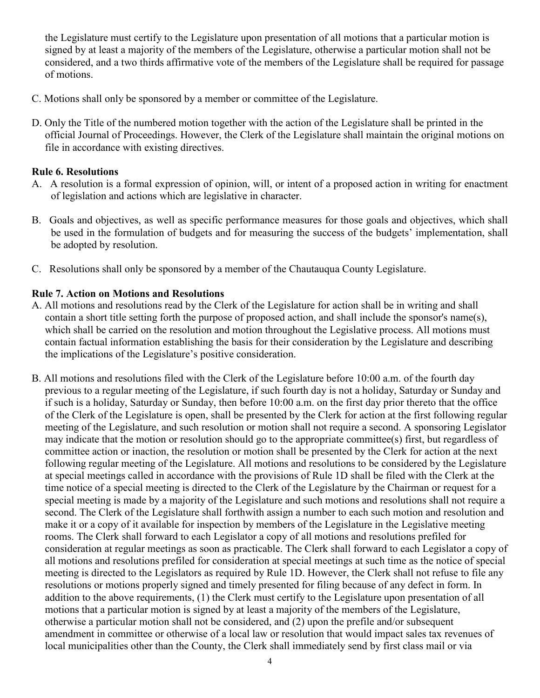the Legislature must certify to the Legislature upon presentation of all motions that a particular motion is signed by at least a majority of the members of the Legislature, otherwise a particular motion shall not be considered, and a two thirds affirmative vote of the members of the Legislature shall be required for passage of motions.

- C. Motions shall only be sponsored by a member or committee of the Legislature.
- D. Only the Title of the numbered motion together with the action of the Legislature shall be printed in the official Journal of Proceedings. However, the Clerk of the Legislature shall maintain the original motions on file in accordance with existing directives.

### **Rule 6. Resolutions**

- A. A resolution is a formal expression of opinion, will, or intent of a proposed action in writing for enactment of legislation and actions which are legislative in character.
- B. Goals and objectives, as well as specific performance measures for those goals and objectives, which shall be used in the formulation of budgets and for measuring the success of the budgets' implementation, shall be adopted by resolution.
- C. Resolutions shall only be sponsored by a member of the Chautauqua County Legislature.

### **Rule 7. Action on Motions and Resolutions**

- A. All motions and resolutions read by the Clerk of the Legislature for action shall be in writing and shall contain a short title setting forth the purpose of proposed action, and shall include the sponsor's name(s), which shall be carried on the resolution and motion throughout the Legislative process. All motions must contain factual information establishing the basis for their consideration by the Legislature and describing the implications of the Legislature's positive consideration.
- B. All motions and resolutions filed with the Clerk of the Legislature before 10:00 a.m. of the fourth day previous to a regular meeting of the Legislature, if such fourth day is not a holiday, Saturday or Sunday and if such is a holiday, Saturday or Sunday, then before 10:00 a.m. on the first day prior thereto that the office of the Clerk of the Legislature is open, shall be presented by the Clerk for action at the first following regular meeting of the Legislature, and such resolution or motion shall not require a second. A sponsoring Legislator may indicate that the motion or resolution should go to the appropriate committee(s) first, but regardless of committee action or inaction, the resolution or motion shall be presented by the Clerk for action at the next following regular meeting of the Legislature. All motions and resolutions to be considered by the Legislature at special meetings called in accordance with the provisions of Rule 1D shall be filed with the Clerk at the time notice of a special meeting is directed to the Clerk of the Legislature by the Chairman or request for a special meeting is made by a majority of the Legislature and such motions and resolutions shall not require a second. The Clerk of the Legislature shall forthwith assign a number to each such motion and resolution and make it or a copy of it available for inspection by members of the Legislature in the Legislative meeting rooms. The Clerk shall forward to each Legislator a copy of all motions and resolutions prefiled for consideration at regular meetings as soon as practicable. The Clerk shall forward to each Legislator a copy of all motions and resolutions prefiled for consideration at special meetings at such time as the notice of special meeting is directed to the Legislators as required by Rule 1D. However, the Clerk shall not refuse to file any resolutions or motions properly signed and timely presented for filing because of any defect in form. In addition to the above requirements, (1) the Clerk must certify to the Legislature upon presentation of all motions that a particular motion is signed by at least a majority of the members of the Legislature, otherwise a particular motion shall not be considered, and (2) upon the prefile and/or subsequent amendment in committee or otherwise of a local law or resolution that would impact sales tax revenues of local municipalities other than the County, the Clerk shall immediately send by first class mail or via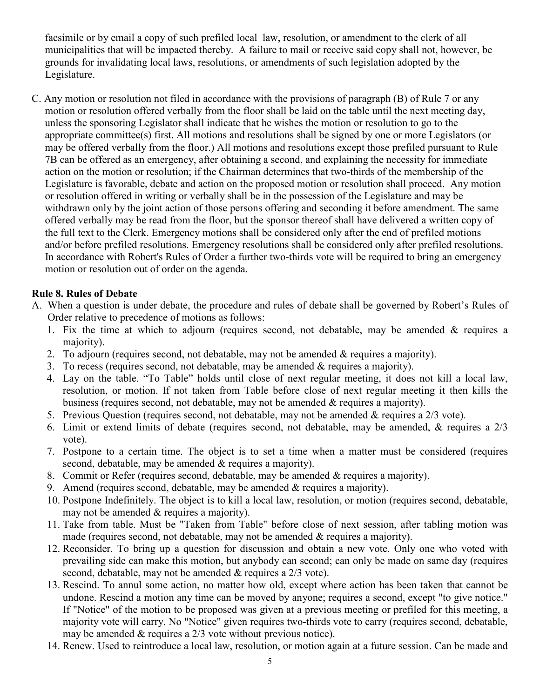facsimile or by email a copy of such prefiled local law, resolution, or amendment to the clerk of all municipalities that will be impacted thereby. A failure to mail or receive said copy shall not, however, be grounds for invalidating local laws, resolutions, or amendments of such legislation adopted by the Legislature.

C. Any motion or resolution not filed in accordance with the provisions of paragraph (B) of Rule 7 or any motion or resolution offered verbally from the floor shall be laid on the table until the next meeting day, unless the sponsoring Legislator shall indicate that he wishes the motion or resolution to go to the appropriate committee(s) first. All motions and resolutions shall be signed by one or more Legislators (or may be offered verbally from the floor.) All motions and resolutions except those prefiled pursuant to Rule 7B can be offered as an emergency, after obtaining a second, and explaining the necessity for immediate action on the motion or resolution; if the Chairman determines that two-thirds of the membership of the Legislature is favorable, debate and action on the proposed motion or resolution shall proceed. Any motion or resolution offered in writing or verbally shall be in the possession of the Legislature and may be withdrawn only by the joint action of those persons offering and seconding it before amendment. The same offered verbally may be read from the floor, but the sponsor thereof shall have delivered a written copy of the full text to the Clerk. Emergency motions shall be considered only after the end of prefiled motions and/or before prefiled resolutions. Emergency resolutions shall be considered only after prefiled resolutions. In accordance with Robert's Rules of Order a further two-thirds vote will be required to bring an emergency motion or resolution out of order on the agenda.

## **Rule 8. Rules of Debate**

- A. When a question is under debate, the procedure and rules of debate shall be governed by Robert's Rules of Order relative to precedence of motions as follows:
	- 1. Fix the time at which to adjourn (requires second, not debatable, may be amended & requires a majority).
	- 2. To adjourn (requires second, not debatable, may not be amended & requires a majority).
	- 3. To recess (requires second, not debatable, may be amended & requires a majority).
	- 4. Lay on the table. "To Table" holds until close of next regular meeting, it does not kill a local law, resolution, or motion. If not taken from Table before close of next regular meeting it then kills the business (requires second, not debatable, may not be amended  $\&$  requires a majority).
	- 5. Previous Question (requires second, not debatable, may not be amended & requires a 2/3 vote).
	- 6. Limit or extend limits of debate (requires second, not debatable, may be amended, & requires a 2/3 vote).
	- 7. Postpone to a certain time. The object is to set a time when a matter must be considered (requires second, debatable, may be amended & requires a majority).
	- 8. Commit or Refer (requires second, debatable, may be amended & requires a majority).
	- 9. Amend (requires second, debatable, may be amended  $&$  requires a majority).
	- 10. Postpone Indefinitely. The object is to kill a local law, resolution, or motion (requires second, debatable, may not be amended & requires a majority).
	- 11. Take from table. Must be "Taken from Table" before close of next session, after tabling motion was made (requires second, not debatable, may not be amended & requires a majority).
	- 12. Reconsider. To bring up a question for discussion and obtain a new vote. Only one who voted with prevailing side can make this motion, but anybody can second; can only be made on same day (requires second, debatable, may not be amended & requires a 2/3 vote).
	- 13. Rescind. To annul some action, no matter how old, except where action has been taken that cannot be undone. Rescind a motion any time can be moved by anyone; requires a second, except "to give notice." If "Notice" of the motion to be proposed was given at a previous meeting or prefiled for this meeting, a majority vote will carry. No "Notice" given requires two-thirds vote to carry (requires second, debatable, may be amended & requires a 2/3 vote without previous notice).
	- 14. Renew. Used to reintroduce a local law, resolution, or motion again at a future session. Can be made and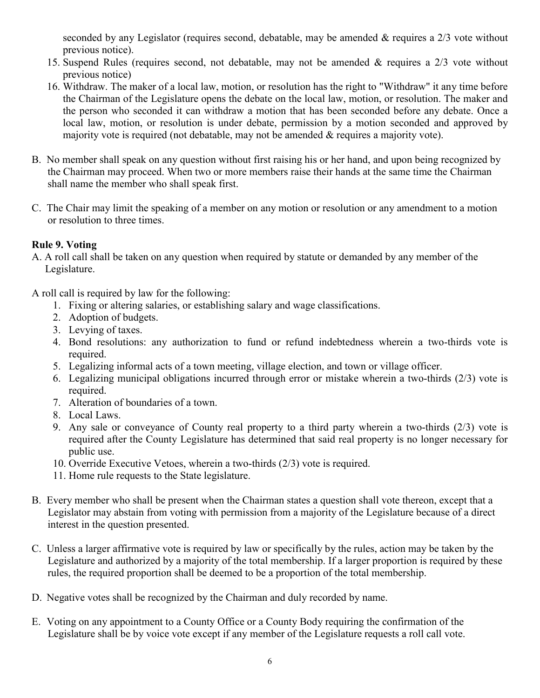seconded by any Legislator (requires second, debatable, may be amended & requires a 2/3 vote without previous notice).

- 15. Suspend Rules (requires second, not debatable, may not be amended & requires a 2/3 vote without previous notice)
- 16. Withdraw. The maker of a local law, motion, or resolution has the right to "Withdraw" it any time before the Chairman of the Legislature opens the debate on the local law, motion, or resolution. The maker and the person who seconded it can withdraw a motion that has been seconded before any debate. Once a local law, motion, or resolution is under debate, permission by a motion seconded and approved by majority vote is required (not debatable, may not be amended & requires a majority vote).
- B. No member shall speak on any question without first raising his or her hand, and upon being recognized by the Chairman may proceed. When two or more members raise their hands at the same time the Chairman shall name the member who shall speak first.
- C. The Chair may limit the speaking of a member on any motion or resolution or any amendment to a motion or resolution to three times.

# **Rule 9. Voting**

A. A roll call shall be taken on any question when required by statute or demanded by any member of the Legislature.

A roll call is required by law for the following:

- 1. Fixing or altering salaries, or establishing salary and wage classifications.
- 2. Adoption of budgets.
- 3. Levying of taxes.
- 4. Bond resolutions: any authorization to fund or refund indebtedness wherein a two-thirds vote is required.
- 5. Legalizing informal acts of a town meeting, village election, and town or village officer.
- 6. Legalizing municipal obligations incurred through error or mistake wherein a two-thirds (2/3) vote is required.
- 7. Alteration of boundaries of a town.
- 8. Local Laws.
- 9. Any sale or conveyance of County real property to a third party wherein a two-thirds (2/3) vote is required after the County Legislature has determined that said real property is no longer necessary for public use.
- 10. Override Executive Vetoes, wherein a two-thirds (2/3) vote is required.
- 11. Home rule requests to the State legislature.
- B. Every member who shall be present when the Chairman states a question shall vote thereon, except that a Legislator may abstain from voting with permission from a majority of the Legislature because of a direct interest in the question presented.
- C. Unless a larger affirmative vote is required by law or specifically by the rules, action may be taken by the Legislature and authorized by a majority of the total membership. If a larger proportion is required by these rules, the required proportion shall be deemed to be a proportion of the total membership.
- D. Negative votes shall be recognized by the Chairman and duly recorded by name.
- E. Voting on any appointment to a County Office or a County Body requiring the confirmation of the Legislature shall be by voice vote except if any member of the Legislature requests a roll call vote.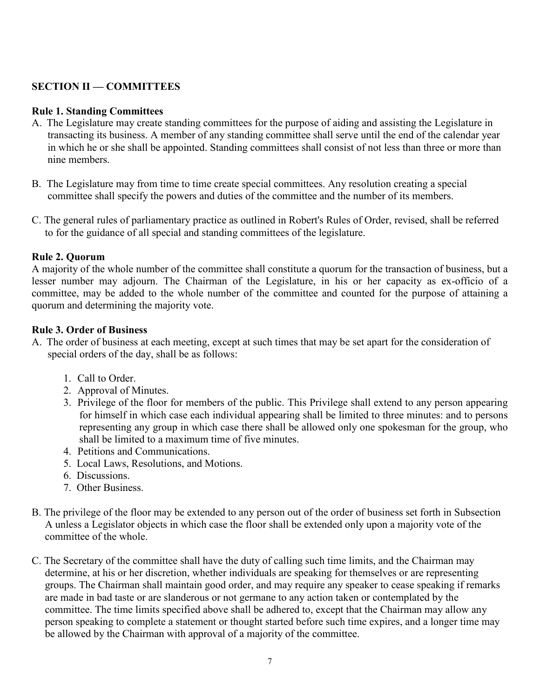# **SECTION II — COMMITTEES**

### **Rule 1. Standing Committees**

- A. The Legislature may create standing committees for the purpose of aiding and assisting the Legislature in transacting its business. A member of any standing committee shall serve until the end of the calendar year in which he or she shall be appointed. Standing committees shall consist of not less than three or more than nine members.
- B. The Legislature may from time to time create special committees. Any resolution creating a special committee shall specify the powers and duties of the committee and the number of its members.
- C. The general rules of parliamentary practice as outlined in Robert's Rules of Order, revised, shall be referred to for the guidance of all special and standing committees of the legislature.

### **Rule 2. Quorum**

A majority of the whole number of the committee shall constitute a quorum for the transaction of business, but a lesser number may adjourn. The Chairman of the Legislature, in his or her capacity as ex-officio of a committee, may be added to the whole number of the committee and counted for the purpose of attaining a quorum and determining the majority vote.

### **Rule 3. Order of Business**

- A. The order of business at each meeting, except at such times that may be set apart for the consideration of special orders of the day, shall be as follows:
	- 1. Call to Order.
	- 2. Approval of Minutes.
	- 3. Privilege of the floor for members of the public. This Privilege shall extend to any person appearing for himself in which case each individual appearing shall be limited to three minutes: and to persons representing any group in which case there shall be allowed only one spokesman for the group, who shall be limited to a maximum time of five minutes.
	- 4. Petitions and Communications.
	- 5. Local Laws, Resolutions, and Motions.
	- 6. Discussions.
	- 7. Other Business.
- B. The privilege of the floor may be extended to any person out of the order of business set forth in Subsection A unless a Legislator objects in which case the floor shall be extended only upon a majority vote of the committee of the whole.
- C. The Secretary of the committee shall have the duty of calling such time limits, and the Chairman may determine, at his or her discretion, whether individuals are speaking for themselves or are representing groups. The Chairman shall maintain good order, and may require any speaker to cease speaking if remarks are made in bad taste or are slanderous or not germane to any action taken or contemplated by the committee. The time limits specified above shall be adhered to, except that the Chairman may allow any person speaking to complete a statement or thought started before such time expires, and a longer time may be allowed by the Chairman with approval of a majority of the committee.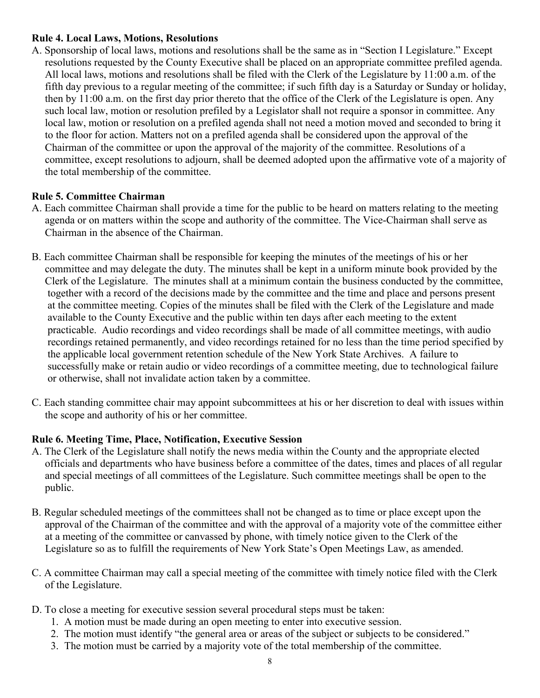### **Rule 4. Local Laws, Motions, Resolutions**

A. Sponsorship of local laws, motions and resolutions shall be the same as in "Section I Legislature." Except resolutions requested by the County Executive shall be placed on an appropriate committee prefiled agenda. All local laws, motions and resolutions shall be filed with the Clerk of the Legislature by 11:00 a.m. of the fifth day previous to a regular meeting of the committee; if such fifth day is a Saturday or Sunday or holiday, then by 11:00 a.m. on the first day prior thereto that the office of the Clerk of the Legislature is open. Any such local law, motion or resolution prefiled by a Legislator shall not require a sponsor in committee. Any local law, motion or resolution on a prefiled agenda shall not need a motion moved and seconded to bring it to the floor for action. Matters not on a prefiled agenda shall be considered upon the approval of the Chairman of the committee or upon the approval of the majority of the committee. Resolutions of a committee, except resolutions to adjourn, shall be deemed adopted upon the affirmative vote of a majority of the total membership of the committee.

## **Rule 5. Committee Chairman**

- A. Each committee Chairman shall provide a time for the public to be heard on matters relating to the meeting agenda or on matters within the scope and authority of the committee. The Vice-Chairman shall serve as Chairman in the absence of the Chairman.
- B. Each committee Chairman shall be responsible for keeping the minutes of the meetings of his or her committee and may delegate the duty. The minutes shall be kept in a uniform minute book provided by the Clerk of the Legislature. The minutes shall at a minimum contain the business conducted by the committee, together with a record of the decisions made by the committee and the time and place and persons present at the committee meeting. Copies of the minutes shall be filed with the Clerk of the Legislature and made available to the County Executive and the public within ten days after each meeting to the extent practicable. Audio recordings and video recordings shall be made of all committee meetings, with audio recordings retained permanently, and video recordings retained for no less than the time period specified by the applicable local government retention schedule of the New York State Archives. A failure to successfully make or retain audio or video recordings of a committee meeting, due to technological failure or otherwise, shall not invalidate action taken by a committee.
- C. Each standing committee chair may appoint subcommittees at his or her discretion to deal with issues within the scope and authority of his or her committee.

# **Rule 6. Meeting Time, Place, Notification, Executive Session**

- A. The Clerk of the Legislature shall notify the news media within the County and the appropriate elected officials and departments who have business before a committee of the dates, times and places of all regular and special meetings of all committees of the Legislature. Such committee meetings shall be open to the public.
- B. Regular scheduled meetings of the committees shall not be changed as to time or place except upon the approval of the Chairman of the committee and with the approval of a majority vote of the committee either at a meeting of the committee or canvassed by phone, with timely notice given to the Clerk of the Legislature so as to fulfill the requirements of New York State's Open Meetings Law, as amended.
- C. A committee Chairman may call a special meeting of the committee with timely notice filed with the Clerk of the Legislature.
- D. To close a meeting for executive session several procedural steps must be taken:
	- 1. A motion must be made during an open meeting to enter into executive session.
	- 2. The motion must identify "the general area or areas of the subject or subjects to be considered."
	- 3. The motion must be carried by a majority vote of the total membership of the committee.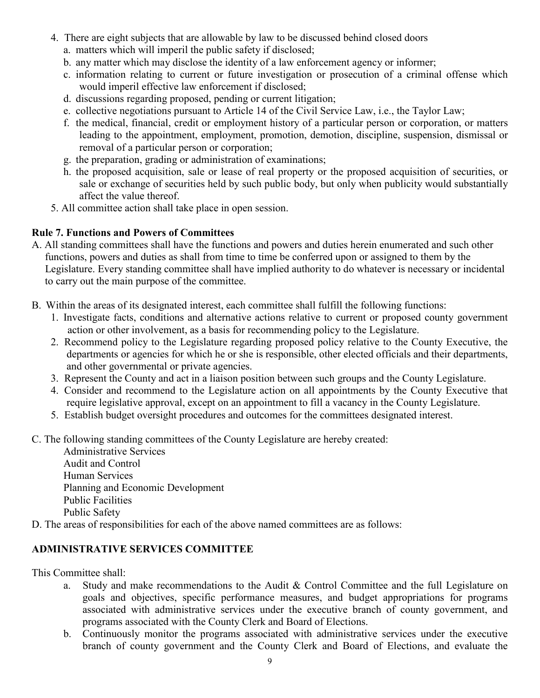- 4. There are eight subjects that are allowable by law to be discussed behind closed doors
	- a. matters which will imperil the public safety if disclosed;
	- b. any matter which may disclose the identity of a law enforcement agency or informer;
	- c. information relating to current or future investigation or prosecution of a criminal offense which would imperil effective law enforcement if disclosed;
	- d. discussions regarding proposed, pending or current litigation;
	- e. collective negotiations pursuant to Article 14 of the Civil Service Law, i.e., the Taylor Law;
	- f. the medical, financial, credit or employment history of a particular person or corporation, or matters leading to the appointment, employment, promotion, demotion, discipline, suspension, dismissal or removal of a particular person or corporation;
	- g. the preparation, grading or administration of examinations;
	- h. the proposed acquisition, sale or lease of real property or the proposed acquisition of securities, or sale or exchange of securities held by such public body, but only when publicity would substantially affect the value thereof.
- 5. All committee action shall take place in open session.

# **Rule 7. Functions and Powers of Committees**

- A. All standing committees shall have the functions and powers and duties herein enumerated and such other functions, powers and duties as shall from time to time be conferred upon or assigned to them by the Legislature. Every standing committee shall have implied authority to do whatever is necessary or incidental to carry out the main purpose of the committee.
- B. Within the areas of its designated interest, each committee shall fulfill the following functions:
	- 1. Investigate facts, conditions and alternative actions relative to current or proposed county government action or other involvement, as a basis for recommending policy to the Legislature.
	- 2. Recommend policy to the Legislature regarding proposed policy relative to the County Executive, the departments or agencies for which he or she is responsible, other elected officials and their departments, and other governmental or private agencies.
	- 3. Represent the County and act in a liaison position between such groups and the County Legislature.
	- 4. Consider and recommend to the Legislature action on all appointments by the County Executive that require legislative approval, except on an appointment to fill a vacancy in the County Legislature.
	- 5. Establish budget oversight procedures and outcomes for the committees designated interest.
- C. The following standing committees of the County Legislature are hereby created:

Administrative Services Audit and Control Human Services Planning and Economic Development Public Facilities Public Safety

D. The areas of responsibilities for each of the above named committees are as follows:

# **ADMINISTRATIVE SERVICES COMMITTEE**

This Committee shall:

- a. Study and make recommendations to the Audit & Control Committee and the full Legislature on goals and objectives, specific performance measures, and budget appropriations for programs associated with administrative services under the executive branch of county government, and programs associated with the County Clerk and Board of Elections.
- b. Continuously monitor the programs associated with administrative services under the executive branch of county government and the County Clerk and Board of Elections, and evaluate the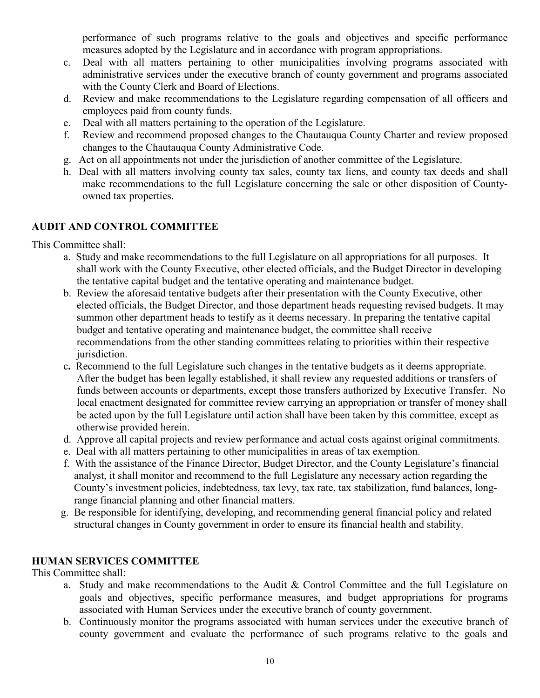performance of such programs relative to the goals and objectives and specific performance measures adopted by the Legislature and in accordance with program appropriations.

- c. Deal with all matters pertaining to other municipalities involving programs associated with administrative services under the executive branch of county government and programs associated with the County Clerk and Board of Elections.
- d. Review and make recommendations to the Legislature regarding compensation of all officers and employees paid from county funds.
- e. Deal with all matters pertaining to the operation of the Legislature.
- f. Review and recommend proposed changes to the Chautauqua County Charter and review proposed changes to the Chautauqua County Administrative Code.
- g. Act on all appointments not under the jurisdiction of another committee of the Legislature.
- h. Deal with all matters involving county tax sales, county tax liens, and county tax deeds and shall make recommendations to the full Legislature concerning the sale or other disposition of Countyowned tax properties.

# **AUDIT AND CONTROL COMMITTEE**

This Committee shall:

- a. Study and make recommendations to the full Legislature on all appropriations for all purposes. It shall work with the County Executive, other elected officials, and the Budget Director in developing the tentative capital budget and the tentative operating and maintenance budget.
- b. Review the aforesaid tentative budgets after their presentation with the County Executive, other elected officials, the Budget Director, and those department heads requesting revised budgets. It may summon other department heads to testify as it deems necessary. In preparing the tentative capital budget and tentative operating and maintenance budget, the committee shall receive recommendations from the other standing committees relating to priorities within their respective jurisdiction.
- c**.** Recommend to the full Legislature such changes in the tentative budgets as it deems appropriate. After the budget has been legally established, it shall review any requested additions or transfers of funds between accounts or departments, except those transfers authorized by Executive Transfer. No local enactment designated for committee review carrying an appropriation or transfer of money shall be acted upon by the full Legislature until action shall have been taken by this committee, except as otherwise provided herein.
- d. Approve all capital projects and review performance and actual costs against original commitments.
- e. Deal with all matters pertaining to other municipalities in areas of tax exemption.
- f. With the assistance of the Finance Director, Budget Director, and the County Legislature's financial analyst, it shall monitor and recommend to the full Legislature any necessary action regarding the County's investment policies, indebtedness, tax levy, tax rate, tax stabilization, fund balances, long range financial planning and other financial matters.
- g. Be responsible for identifying, developing, and recommending general financial policy and related structural changes in County government in order to ensure its financial health and stability.

# **HUMAN SERVICES COMMITTEE**

This Committee shall:

- a. Study and make recommendations to the Audit & Control Committee and the full Legislature on goals and objectives, specific performance measures, and budget appropriations for programs associated with Human Services under the executive branch of county government.
- b. Continuously monitor the programs associated with human services under the executive branch of county government and evaluate the performance of such programs relative to the goals and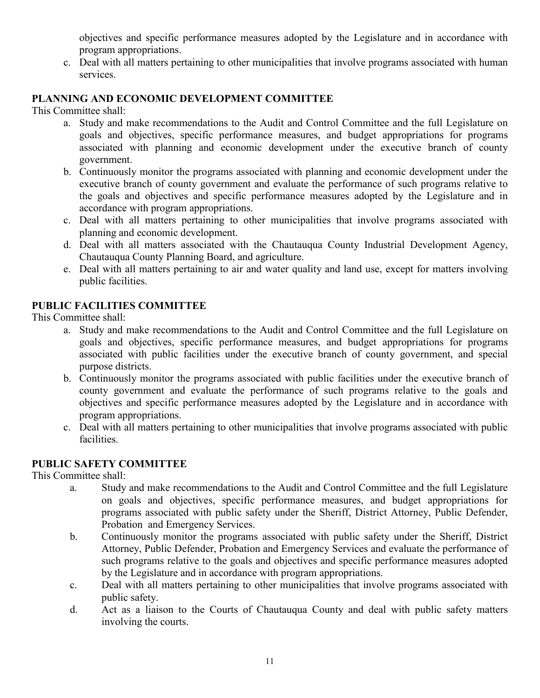objectives and specific performance measures adopted by the Legislature and in accordance with program appropriations.

c. Deal with all matters pertaining to other municipalities that involve programs associated with human services.

# **PLANNING AND ECONOMIC DEVELOPMENT COMMITTEE**

This Committee shall:

- a. Study and make recommendations to the Audit and Control Committee and the full Legislature on goals and objectives, specific performance measures, and budget appropriations for programs associated with planning and economic development under the executive branch of county government.
- b. Continuously monitor the programs associated with planning and economic development under the executive branch of county government and evaluate the performance of such programs relative to the goals and objectives and specific performance measures adopted by the Legislature and in accordance with program appropriations.
- c. Deal with all matters pertaining to other municipalities that involve programs associated with planning and economic development.
- d. Deal with all matters associated with the Chautauqua County Industrial Development Agency, Chautauqua County Planning Board, and agriculture.
- e. Deal with all matters pertaining to air and water quality and land use, except for matters involving public facilities.

## **PUBLIC FACILITIES COMMITTEE**

This Committee shall:

- a. Study and make recommendations to the Audit and Control Committee and the full Legislature on goals and objectives, specific performance measures, and budget appropriations for programs associated with public facilities under the executive branch of county government, and special purpose districts.
- b. Continuously monitor the programs associated with public facilities under the executive branch of county government and evaluate the performance of such programs relative to the goals and objectives and specific performance measures adopted by the Legislature and in accordance with program appropriations.
- c. Deal with all matters pertaining to other municipalities that involve programs associated with public facilities.

# **PUBLIC SAFETY COMMITTEE**

This Committee shall:

- a. Study and make recommendations to the Audit and Control Committee and the full Legislature on goals and objectives, specific performance measures, and budget appropriations for programs associated with public safety under the Sheriff, District Attorney, Public Defender, Probation and Emergency Services.
- b. Continuously monitor the programs associated with public safety under the Sheriff, District Attorney, Public Defender, Probation and Emergency Services and evaluate the performance of such programs relative to the goals and objectives and specific performance measures adopted by the Legislature and in accordance with program appropriations.
- c. Deal with all matters pertaining to other municipalities that involve programs associated with public safety.
- d. Act as a liaison to the Courts of Chautauqua County and deal with public safety matters involving the courts.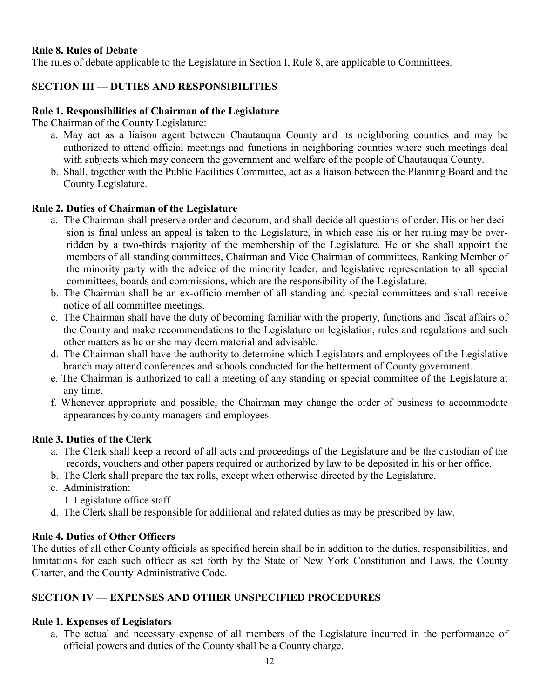### **Rule 8. Rules of Debate**

The rules of debate applicable to the Legislature in Section I, Rule 8, are applicable to Committees.

# **SECTION III — DUTIES AND RESPONSIBILITIES**

### **Rule 1. Responsibilities of Chairman of the Legislature**

The Chairman of the County Legislature:

- a. May act as a liaison agent between Chautauqua County and its neighboring counties and may be authorized to attend official meetings and functions in neighboring counties where such meetings deal with subjects which may concern the government and welfare of the people of Chautauqua County.
- b. Shall, together with the Public Facilities Committee, act as a liaison between the Planning Board and the County Legislature.

### **Rule 2. Duties of Chairman of the Legislature**

- a. The Chairman shall preserve order and decorum, and shall decide all questions of order. His or her decision is final unless an appeal is taken to the Legislature, in which case his or her ruling may be overridden by a two-thirds majority of the membership of the Legislature. He or she shall appoint the members of all standing committees, Chairman and Vice Chairman of committees, Ranking Member of the minority party with the advice of the minority leader, and legislative representation to all special committees, boards and commissions, which are the responsibility of the Legislature.
- b. The Chairman shall be an ex-officio member of all standing and special committees and shall receive notice of all committee meetings.
- c. The Chairman shall have the duty of becoming familiar with the property, functions and fiscal affairs of the County and make recommendations to the Legislature on legislation, rules and regulations and such other matters as he or she may deem material and advisable.
- d. The Chairman shall have the authority to determine which Legislators and employees of the Legislative branch may attend conferences and schools conducted for the betterment of County government.
- e. The Chairman is authorized to call a meeting of any standing or special committee of the Legislature at any time.
- f. Whenever appropriate and possible, the Chairman may change the order of business to accommodate appearances by county managers and employees.

### **Rule 3. Duties of the Clerk**

- a. The Clerk shall keep a record of all acts and proceedings of the Legislature and be the custodian of the records, vouchers and other papers required or authorized by law to be deposited in his or her office.
- b. The Clerk shall prepare the tax rolls, except when otherwise directed by the Legislature.
- c. Administration:
	- 1. Legislature office staff
- d. The Clerk shall be responsible for additional and related duties as may be prescribed by law.

### **Rule 4. Duties of Other Officers**

The duties of all other County officials as specified herein shall be in addition to the duties, responsibilities, and limitations for each such officer as set forth by the State of New York Constitution and Laws, the County Charter, and the County Administrative Code.

## **SECTION IV — EXPENSES AND OTHER UNSPECIFIED PROCEDURES**

## **Rule 1. Expenses of Legislators**

a. The actual and necessary expense of all members of the Legislature incurred in the performance of official powers and duties of the County shall be a County charge.